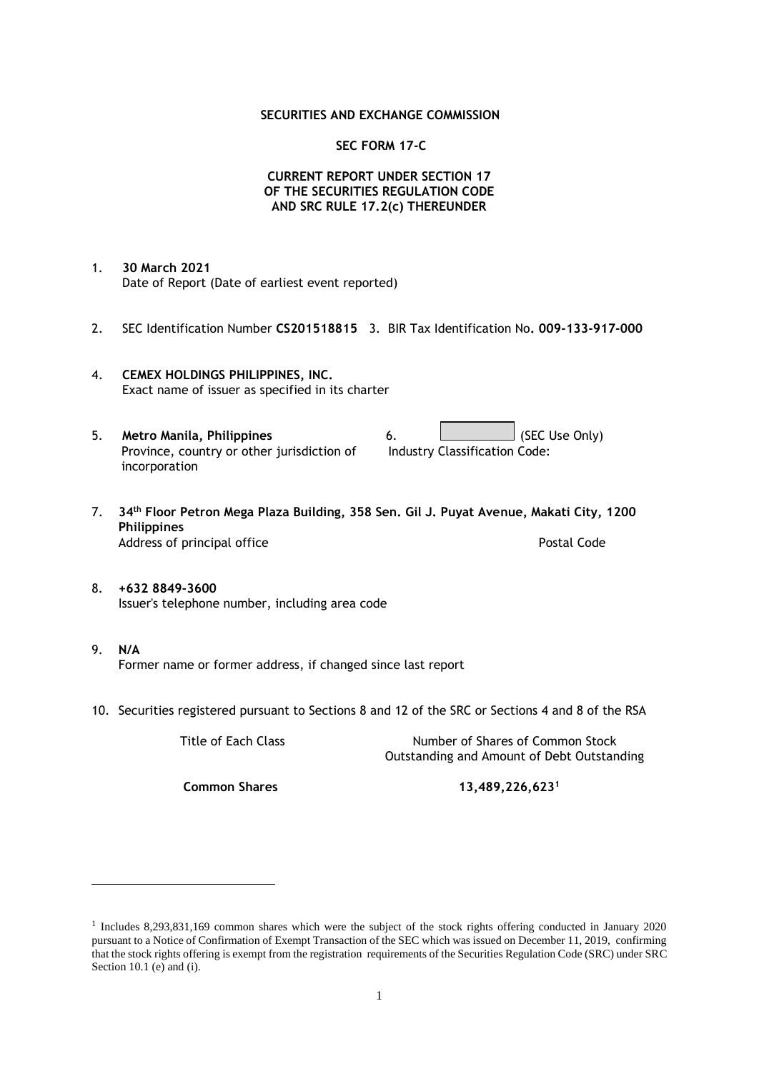### **SECURITIES AND EXCHANGE COMMISSION**

### **SEC FORM 17-C**

## **CURRENT REPORT UNDER SECTION 17 OF THE SECURITIES REGULATION CODE AND SRC RULE 17.2(c) THEREUNDER**

- 1. **30 March 2021** Date of Report (Date of earliest event reported)
- 2. SEC Identification Number **CS201518815** 3. BIR Tax Identification No**. 009-133-917-000**
- 4. **CEMEX HOLDINGS PHILIPPINES, INC.** Exact name of issuer as specified in its charter
- 5. **Metro Manila, Philippines** 6. **Consumers 6.** (SEC Use Only) Province, country or other jurisdiction of incorporation Industry Classification Code:
- 7. **34th Floor Petron Mega Plaza Building, 358 Sen. Gil J. Puyat Avenue, Makati City, 1200 Philippines** Address of principal office **Postal Code** Postal Code
- 8. **+632 8849-3600** Issuer's telephone number, including area code
- 9. **N/A** Former name or former address, if changed since last report
- 10. Securities registered pursuant to Sections 8 and 12 of the SRC or Sections 4 and 8 of the RSA

Title of Each Class Number of Shares of Common Stock Outstanding and Amount of Debt Outstanding

**Common Shares 13,489,226,623<sup>1</sup>**

<sup>1</sup> Includes 8,293,831,169 common shares which were the subject of the stock rights offering conducted in January 2020 pursuant to a Notice of Confirmation of Exempt Transaction of the SEC which was issued on December 11, 2019, confirming that the stock rights offering is exempt from the registration requirements of the Securities Regulation Code (SRC) under SRC Section 10.1 (e) and (i).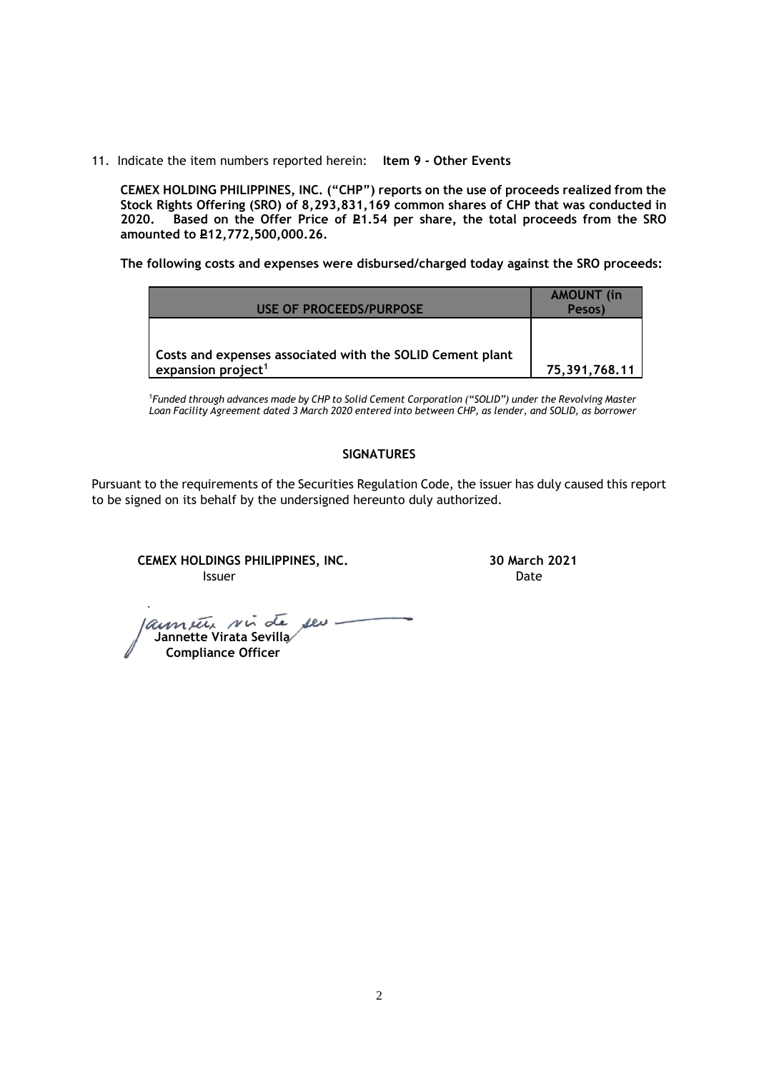11. Indicate the item numbers reported herein: **Item 9 - Other Events**

**CEMEX HOLDING PHILIPPINES, INC. ("CHP") reports on the use of proceeds realized from the Stock Rights Offering (SRO) of 8,293,831,169 common shares of CHP that was conducted in**  Based on the Offer Price of £1.54 per share, the total proceeds from the SRO **amounted to P12,772,500,000.26.** 

**The following costs and expenses were disbursed/charged today against the SRO proceeds:**

| USE OF PROCEEDS/PURPOSE                                   | <b>AMOUNT</b> (in<br>Pesos) |
|-----------------------------------------------------------|-----------------------------|
| Costs and expenses associated with the SOLID Cement plant |                             |
| expansion project <sup>1</sup>                            | 75,391,768.11               |

<sup>1</sup>*Funded through advances made by CHP to Solid Cement Corporation ("SOLID") under the Revolving Master Loan Facility Agreement dated 3 March 2020 entered into between CHP, as lender, and SOLID, as borrower*

## **SIGNATURES**

Pursuant to the requirements of the Securities Regulation Code, the issuer has duly caused this report to be signed on its behalf by the undersigned hereunto duly authorized.

**CEMEX HOLDINGS PHILIPPINES, INC. 30 March 2021 Issuer Date** 

 **Jannette Virata Sevilla Compliance Officer**